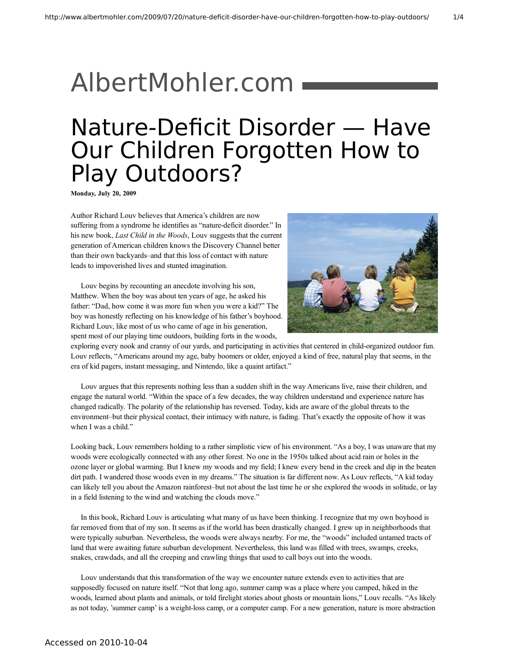## [AlbertMohler.com](http://www.albertmohler.com/)

## Nature-Deficit Disorder — Have Our Children Forgotten How to Play Outdoors?

**Monday, July 20, 2009**

Author Richard Louv believes that America's children are now suffering from a syndrome he identifies as "nature-deficit disorder." In his new book, *Last Child in the Woods*, Louv suggests that the current generation of American children knows the Discovery Channel better than their own backyards–and that this loss of contact with nature leads to impoverished lives and stunted imagination.

Louv begins by recounting an anecdote involving his son, Matthew. When the boy was about ten years of age, he asked his father: "Dad, how come it was more fun when you were a kid?" The boy was honestly reflecting on his knowledge of his father's boyhood. Richard Louv, like most of us who came of age in his generation, spent most of our playing time outdoors, building forts in the woods,



exploring every nook and cranny of our yards, and participating in activities that centered in child-organized outdoor fun. Louv reflects, "Americans around my age, baby boomers or older, enjoyed a kind of free, natural play that seems, in the era of kid pagers, instant messaging, and Nintendo, like a quaint artifact."

Louv argues that this represents nothing less than a sudden shift in the way Americans live, raise their children, and engage the natural world. "Within the space of a few decades, the way children understand and experience nature has changed radically. The polarity of the relationship has reversed. Today, kids are aware of the global threats to the environment–but their physical contact, their intimacy with nature, is fading. That's exactly the opposite of how it was when I was a child."

Looking back, Louv remembers holding to a rather simplistic view of his environment. "As a boy, I was unaware that my woods were ecologically connected with any other forest. No one in the 1950s talked about acid rain or holes in the ozone layer or global warming. But I knew my woods and my field; I knew every bend in the creek and dip in the beaten dirt path. I wandered those woods even in my dreams." The situation is far different now. As Louv reflects, "A kid today can likely tell you about the Amazon rainforest–but not about the last time he or she explored the woods in solitude, or lay in a field listening to the wind and watching the clouds move."

In this book, Richard Louv is articulating what many of us have been thinking. I recognize that my own boyhood is far removed from that of my son. It seems as if the world has been drastically changed. I grew up in neighborhoods that were typically suburban. Nevertheless, the woods were always nearby. For me, the "woods" included untamed tracts of land that were awaiting future suburban development. Nevertheless, this land was filled with trees, swamps, creeks, snakes, crawdads, and all the creeping and crawling things that used to call boys out into the woods.

Louv understands that this transformation of the way we encounter nature extends even to activities that are supposedly focused on nature itself. "Not that long ago, summer camp was a place where you camped, hiked in the woods, learned about plants and animals, or told firelight stories about ghosts or mountain lions," Louv recalls. "As likely as not today, 'summer camp' is a weight-loss camp, or a computer camp. For a new generation, nature is more abstraction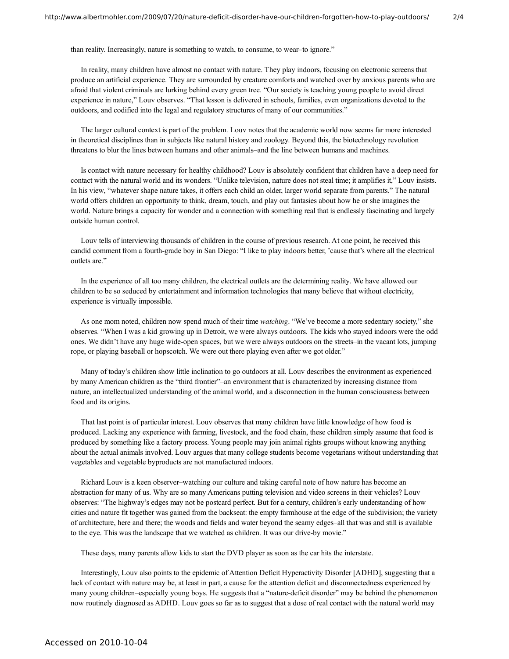than reality. Increasingly, nature is something to watch, to consume, to wear–to ignore."

In reality, many children have almost no contact with nature. They play indoors, focusing on electronic screens that produce an artificial experience. They are surrounded by creature comforts and watched over by anxious parents who are afraid that violent criminals are lurking behind every green tree. "Our society is teaching young people to avoid direct experience in nature," Louv observes. "That lesson is delivered in schools, families, even organizations devoted to the outdoors, and codified into the legal and regulatory structures of many of our communities."

The larger cultural context is part of the problem. Louv notes that the academic world now seems far more interested in theoretical disciplines than in subjects like natural history and zoology. Beyond this, the biotechnology revolution threatens to blur the lines between humans and other animals–and the line between humans and machines.

Is contact with nature necessary for healthy childhood? Louv is absolutely confident that children have a deep need for contact with the natural world and its wonders. "Unlike television, nature does not steal time; it amplifies it," Louv insists. In his view, "whatever shape nature takes, it offers each child an older, larger world separate from parents." The natural world offers children an opportunity to think, dream, touch, and play out fantasies about how he or she imagines the world. Nature brings a capacity for wonder and a connection with something real that is endlessly fascinating and largely outside human control.

Louv tells of interviewing thousands of children in the course of previous research. At one point, he received this candid comment from a fourth-grade boy in San Diego: "I like to play indoors better, 'cause that's where all the electrical outlets are."

In the experience of all too many children, the electrical outlets are the determining reality. We have allowed our children to be so seduced by entertainment and information technologies that many believe that without electricity, experience is virtually impossible.

As one mom noted, children now spend much of their time *watching*. "We've become a more sedentary society," she observes. "When I was a kid growing up in Detroit, we were always outdoors. The kids who stayed indoors were the odd ones. We didn't have any huge wide-open spaces, but we were always outdoors on the streets–in the vacant lots, jumping rope, or playing baseball or hopscotch. We were out there playing even after we got older."

Many of today's children show little inclination to go outdoors at all. Louv describes the environment as experienced by many American children as the "third frontier"–an environment that is characterized by increasing distance from nature, an intellectualized understanding of the animal world, and a disconnection in the human consciousness between food and its origins.

That last point is of particular interest. Louv observes that many children have little knowledge of how food is produced. Lacking any experience with farming, livestock, and the food chain, these children simply assume that food is produced by something like a factory process. Young people may join animal rights groups without knowing anything about the actual animals involved. Louv argues that many college students become vegetarians without understanding that vegetables and vegetable byproducts are not manufactured indoors.

Richard Louv is a keen observer–watching our culture and taking careful note of how nature has become an abstraction for many of us. Why are so many Americans putting television and video screens in their vehicles? Louv observes: "The highway's edges may not be postcard perfect. But for a century, children's early understanding of how cities and nature fit together was gained from the backseat: the empty farmhouse at the edge of the subdivision; the variety of architecture, here and there; the woods and fields and water beyond the seamy edges–all that was and still is available to the eye. This was the landscape that we watched as children. It was our drive-by movie."

These days, many parents allow kids to start the DVD player as soon as the car hits the interstate.

Interestingly, Louv also points to the epidemic of Attention Deficit Hyperactivity Disorder [ADHD], suggesting that a lack of contact with nature may be, at least in part, a cause for the attention deficit and disconnectedness experienced by many young children–especially young boys. He suggests that a "nature-deficit disorder" may be behind the phenomenon now routinely diagnosed as ADHD. Louv goes so far as to suggest that a dose of real contact with the natural world may